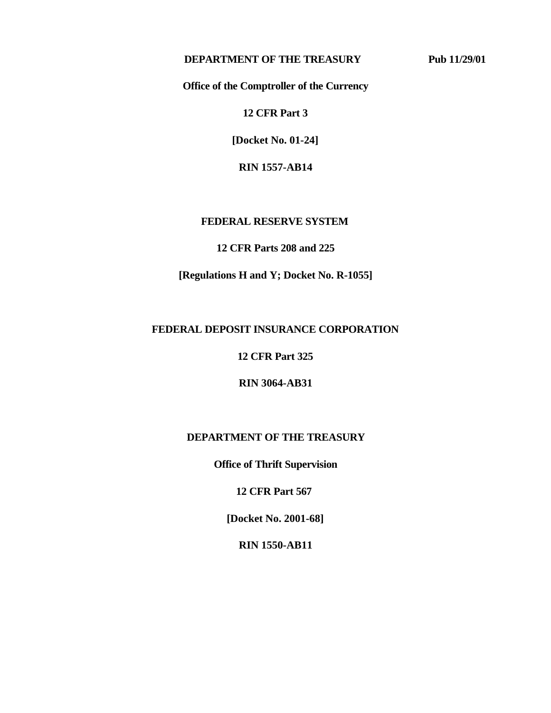## **DEPARTMENT OF THE TREASURY Pub 11/29/01**

**Office of the Comptroller of the Currency**

**12 CFR Part 3**

**[Docket No. 01-24]**

**RIN 1557-AB14**

## **FEDERAL RESERVE SYSTEM**

**12 CFR Parts 208 and 225**

**[Regulations H and Y; Docket No. R-1055]**

## **FEDERAL DEPOSIT INSURANCE CORPORATION**

**12 CFR Part 325** 

**RIN 3064-AB31** 

## **DEPARTMENT OF THE TREASURY**

**Office of Thrift Supervision**

**12 CFR Part 567** 

**[Docket No. 2001-68]**

**RIN 1550-AB11**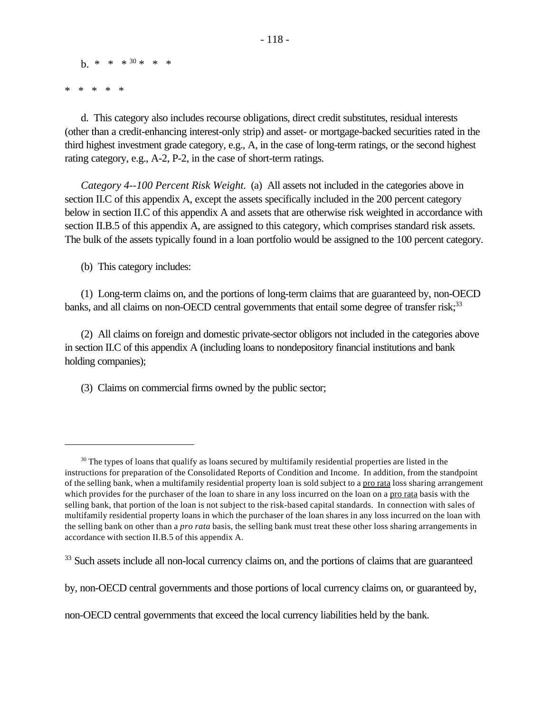$h^{*}$  \* \* \* 30 \* \* \*

\* \* \* \* \*

d. This category also includes recourse obligations, direct credit substitutes, residual interests (other than a credit-enhancing interest-only strip) and asset- or mortgage-backed securities rated in the third highest investment grade category, e.g., A, in the case of long-term ratings, or the second highest rating category, e.g., A-2, P-2, in the case of short-term ratings.

*Category 4--100 Percent Risk Weight.* (a) All assets not included in the categories above in section II.C of this appendix A, except the assets specifically included in the 200 percent category below in section II.C of this appendix A and assets that are otherwise risk weighted in accordance with section II.B.5 of this appendix A, are assigned to this category, which comprises standard risk assets. The bulk of the assets typically found in a loan portfolio would be assigned to the 100 percent category.

(b) This category includes:

(1) Long-term claims on, and the portions of long-term claims that are guaranteed by, non-OECD banks, and all claims on non-OECD central governments that entail some degree of transfer risk;<sup>33</sup>

(2) All claims on foreign and domestic private-sector obligors not included in the categories above in section II.C of this appendix A (including loans to nondepository financial institutions and bank holding companies);

(3) Claims on commercial firms owned by the public sector;

non-OECD central governments that exceed the local currency liabilities held by the bank.

 $30$  The types of loans that qualify as loans secured by multifamily residential properties are listed in the instructions for preparation of the Consolidated Reports of Condition and Income. In addition, from the standpoint of the selling bank, when a multifamily residential property loan is sold subject to a pro rata loss sharing arrangement which provides for the purchaser of the loan to share in any loss incurred on the loan on a pro rata basis with the selling bank, that portion of the loan is not subject to the risk-based capital standards. In connection with sales of multifamily residential property loans in which the purchaser of the loan shares in any loss incurred on the loan with the selling bank on other than a *pro rata* basis, the selling bank must treat these other loss sharing arrangements in accordance with section II.B.5 of this appendix A.

<sup>&</sup>lt;sup>33</sup> Such assets include all non-local currency claims on, and the portions of claims that are guaranteed

by, non-OECD central governments and those portions of local currency claims on, or guaranteed by,